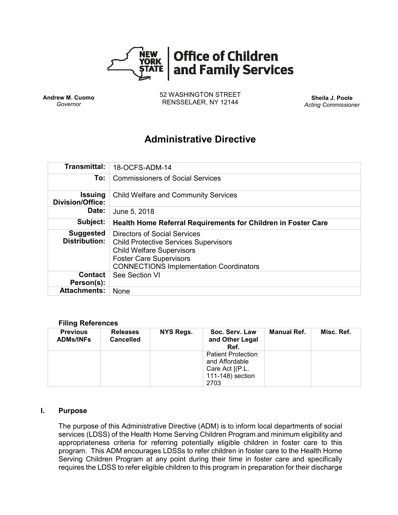

**Andrew M. Cuomo** *Governor*

52 WASHINGTON STREET RENSSELAER, NY 12144 **Sheila J. Poole**

*Acting Commissioner*

# **Administrative Directive**

| <b>Transmittal:</b>                       | 18-OCFS-ADM-14                                                                                                                                                                                              |  |  |  |  |
|-------------------------------------------|-------------------------------------------------------------------------------------------------------------------------------------------------------------------------------------------------------------|--|--|--|--|
| To:                                       | <b>Commissioners of Social Services</b>                                                                                                                                                                     |  |  |  |  |
| <b>Issuing</b><br><b>Division/Office:</b> | <b>Child Welfare and Community Services</b>                                                                                                                                                                 |  |  |  |  |
| Date:                                     | June 5, 2018                                                                                                                                                                                                |  |  |  |  |
| Subject:                                  | Health Home Referral Requirements for Children in Foster Care                                                                                                                                               |  |  |  |  |
| <b>Suggested</b><br><b>Distribution:</b>  | <b>Directors of Social Services</b><br><b>Child Protective Services Supervisors</b><br><b>Child Welfare Supervisors</b><br><b>Foster Care Supervisors</b><br><b>CONNECTIONS Implementation Coordinators</b> |  |  |  |  |
| <b>Contact</b><br>Person(s):              | See Section VI                                                                                                                                                                                              |  |  |  |  |
| <b>Attachments:</b>                       | None                                                                                                                                                                                                        |  |  |  |  |

#### **Filing References**

| <b>Previous</b><br><b>ADMs/INFs</b> | <b>Releases</b><br><b>Cancelled</b> | NYS Regs. | Soc. Serv. Law<br>and Other Legal<br>Ref.                                                  | Manual Ref. | Misc. Ref. |
|-------------------------------------|-------------------------------------|-----------|--------------------------------------------------------------------------------------------|-------------|------------|
|                                     |                                     |           | <b>Patient Protection</b><br>and Affordable<br>Care Act [(P.L.<br>111-148) section<br>2703 |             |            |

#### **I. Purpose**

The purpose of this Administrative Directive (ADM) is to inform local departments of social services (LDSS) of the Health Home Serving Children Program and minimum eligibility and appropriateness criteria for referring potentially eligible children in foster care to this program. This ADM encourages LDSSs to refer children in foster care to the Health Home Serving Children Program at any point during their time in foster care and specifically requires the LDSS to refer eligible children to this program in preparation for their discharge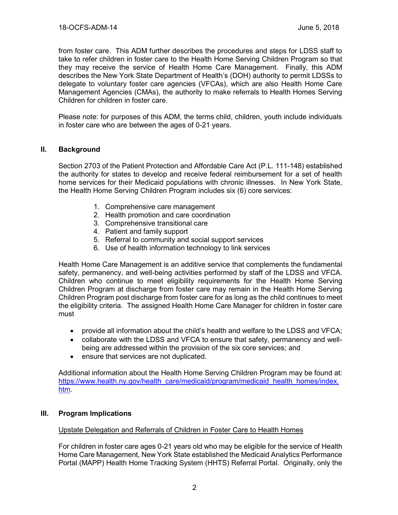from foster care. This ADM further describes the procedures and steps for LDSS staff to take to refer children in foster care to the Health Home Serving Children Program so that they may receive the service of Health Home Care Management. Finally, this ADM describes the New York State Department of Health's (DOH) authority to permit LDSSs to delegate to voluntary foster care agencies (VFCAs), which are also Health Home Care Management Agencies (CMAs), the authority to make referrals to Health Homes Serving Children for children in foster care.

Please note: for purposes of this ADM, the terms child, children, youth include individuals in foster care who are between the ages of 0-21 years.

### **II. Background**

Section 2703 of the Patient Protection and Affordable Care Act (P.L. 111-148) established the authority for states to develop and receive federal reimbursement for a set of health home services for their Medicaid populations with chronic illnesses. In New York State, the Health Home Serving Children Program includes six (6) core services:

- 1. Comprehensive care management
- 2. Health promotion and care coordination
- 3. Comprehensive transitional care
- 4. Patient and family support
- 5. Referral to community and social support services
- 6. Use of health information technology to link services

Health Home Care Management is an additive service that complements the fundamental safety, permanency, and well-being activities performed by staff of the LDSS and VFCA. Children who continue to meet eligibility requirements for the Health Home Serving Children Program at discharge from foster care may remain in the Health Home Serving Children Program post discharge from foster care for as long as the child continues to meet the eligibility criteria. The assigned Health Home Care Manager for children in foster care must

- provide all information about the child's health and welfare to the LDSS and VFCA;
- collaborate with the LDSS and VFCA to ensure that safety, permanency and wellbeing are addressed within the provision of the six core services; and
- ensure that services are not duplicated.

Additional information about the Health Home Serving Children Program may be found at: [https://www.health.ny.gov/health\\_care/medicaid/program/medicaid\\_health\\_homes/index.](https://www.health.ny.gov/health_care/medicaid/program/medicaid_health_homes/index.htm) [htm.](https://www.health.ny.gov/health_care/medicaid/program/medicaid_health_homes/index.htm)

### **III. Program Implications**

### Upstate Delegation and Referrals of Children in Foster Care to Health Homes

For children in foster care ages 0-21 years old who may be eligible for the service of Health Home Care Management, New York State established the Medicaid Analytics Performance Portal (MAPP) Health Home Tracking System (HHTS) Referral Portal. Originally, only the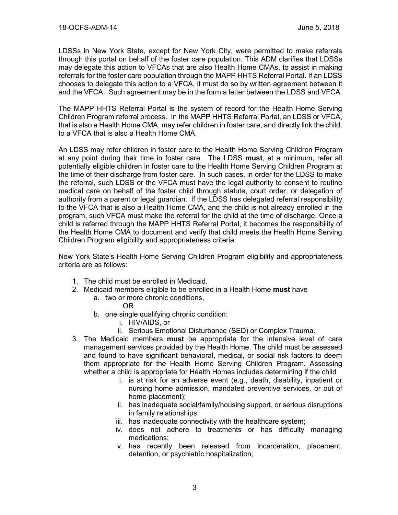LDSSs in New York State, except for New York City, were permitted to make referrals through this portal on behalf of the foster care population. This ADM clarifies that LDSSs may delegate this action to VFCAs that are also Health Home CMAs, to assist in making referrals for the foster care population through the MAPP HHTS Referral Portal. If an LDSS chooses to delegate this action to a VFCA, it must do so by written agreement between it and the VFCA. Such agreement may be in the form a letter between the LDSS and VFCA.

The MAPP HHTS Referral Portal is the system of record for the Health Home Serving Children Program referral process. In the MAPP HHTS Referral Portal, an LDSS or VFCA, that is also a Health Home CMA, may refer children in foster care, and directly link the child, to a VFCA that is also a Health Home CMA.

An LDSS may refer children in foster care to the Health Home Serving Children Program at any point during their time in foster care. The LDSS **must**, at a minimum, refer all potentially eligible children in foster care to the Health Home Serving Children Program at the time of their discharge from foster care. In such cases, in order for the LDSS to make the referral, such LDSS or the VFCA must have the legal authority to consent to routine medical care on behalf of the foster child through statute, court order, or delegation of authority from a parent or legal guardian. If the LDSS has delegated referral responsibility to the VFCA that is also a Health Home CMA, and the child is not already enrolled in the program, such VFCA must make the referral for the child at the time of discharge. Once a child is referred through the MAPP HHTS Referral Portal, it becomes the responsibility of the Health Home CMA to document and verify that child meets the Health Home Serving Children Program eligibility and appropriateness criteria.

New York State's Health Home Serving Children Program eligibility and appropriateness criteria are as follows:

- 1. The child must be enrolled in Medicaid.
- 2. Medicaid members eligible to be enrolled in a Health Home **must** have
	- a. two or more chronic conditions,
		- OR
	- b. one single qualifying chronic condition:
		- i. HIV/AIDS, or
		- ii. Serious Emotional Disturbance (SED) or Complex Trauma.
- 3. The Medicaid members **must** be appropriate for the intensive level of care management services provided by the Health Home. The child must be assessed and found to have significant behavioral, medical, or social risk factors to deem them appropriate for the Health Home Serving Children Program. Assessing whether a child is appropriate for Health Homes includes determining if the child
	- i. is at risk for an adverse event (e.g., death, disability, inpatient or nursing home admission, mandated preventive services, or out of home placement);
	- ii. has inadequate social/family/housing support, or serious disruptions in family relationships;
	- iii. has inadequate connectivity with the healthcare system;
	- iv. does not adhere to treatments or has difficulty managing medications;
	- v. has recently been released from incarceration, placement, detention, or psychiatric hospitalization;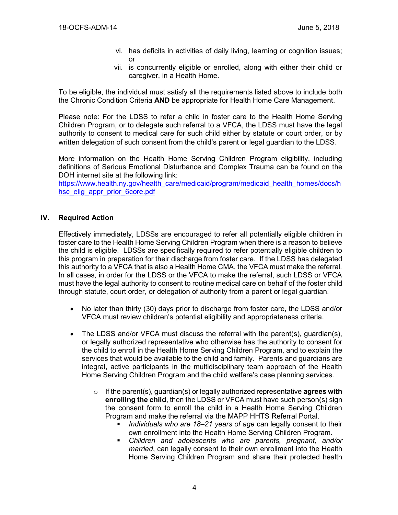- vi. has deficits in activities of daily living, learning or cognition issues; or
- vii. is concurrently eligible or enrolled, along with either their child or caregiver, in a Health Home.

To be eligible, the individual must satisfy all the requirements listed above to include both the Chronic Condition Criteria **AND** be appropriate for Health Home Care Management.

Please note: For the LDSS to refer a child in foster care to the Health Home Serving Children Program, or to delegate such referral to a VFCA, the LDSS must have the legal authority to consent to medical care for such child either by statute or court order, or by written delegation of such consent from the child's parent or legal guardian to the LDSS.

More information on the Health Home Serving Children Program eligibility, including definitions of Serious Emotional Disturbance and Complex Trauma can be found on the DOH internet site at the following link:

[https://www.health.ny.gov/health\\_care/medicaid/program/medicaid\\_health\\_homes/docs/h](https://www.health.ny.gov/health_care/medicaid/program/medicaid_health_homes/docs/hhsc_elig_appr_prior_6core.pdf) [hsc\\_elig\\_appr\\_prior\\_6core.pdf](https://www.health.ny.gov/health_care/medicaid/program/medicaid_health_homes/docs/hhsc_elig_appr_prior_6core.pdf)

### **IV. Required Action**

Effectively immediately, LDSSs are encouraged to refer all potentially eligible children in foster care to the Health Home Serving Children Program when there is a reason to believe the child is eligible. LDSSs are specifically required to refer potentially eligible children to this program in preparation for their discharge from foster care. If the LDSS has delegated this authority to a VFCA that is also a Health Home CMA, the VFCA must make the referral. In all cases, in order for the LDSS or the VFCA to make the referral, such LDSS or VFCA must have the legal authority to consent to routine medical care on behalf of the foster child through statute, court order, or delegation of authority from a parent or legal guardian.

- No later than thirty (30) days prior to discharge from foster care, the LDSS and/or VFCA must review children's potential eligibility and appropriateness criteria.
- The LDSS and/or VFCA must discuss the referral with the parent(s), quardian(s), or legally authorized representative who otherwise has the authority to consent for the child to enroll in the Health Home Serving Children Program, and to explain the services that would be available to the child and family. Parents and guardians are integral, active participants in the multidisciplinary team approach of the Health Home Serving Children Program and the child welfare's case planning services.
	- o If the parent(s), guardian(s) or legally authorized representative **agrees with enrolling the child**, then the LDSS or VFCA must have such person(s) sign the consent form to enroll the child in a Health Home Serving Children Program and make the referral via the MAPP HHTS Referral Portal.
		- *Individuals who are 18–21 years of age* can legally consent to their own enrollment into the Health Home Serving Children Program.
		- *Children and adolescents who are parents, pregnant, and/or married*, can legally consent to their own enrollment into the Health Home Serving Children Program and share their protected health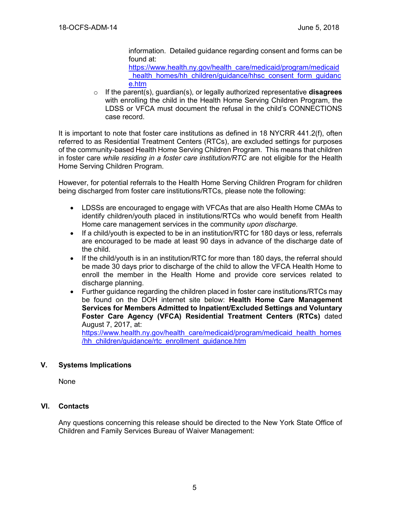information. Detailed guidance regarding consent and forms can be found at:

[https://www.health.ny.gov/health\\_care/medicaid/program/medicaid](https://www.health.ny.gov/health_care/medicaid/program/medicaid_health_homes/hh_children/guidance/hhsc_consent_form_guidance.htm) health\_homes/hh\_children/guidance/hhsc\_consent\_form\_guidance [e.htm](https://www.health.ny.gov/health_care/medicaid/program/medicaid_health_homes/hh_children/guidance/hhsc_consent_form_guidance.htm)

o If the parent(s), guardian(s), or legally authorized representative **disagrees**  with enrolling the child in the Health Home Serving Children Program, the LDSS or VFCA must document the refusal in the child's CONNECTIONS case record.

It is important to note that foster care institutions as defined in 18 NYCRR 441.2(f), often referred to as Residential Treatment Centers (RTCs), are excluded settings for purposes of the community-based Health Home Serving Children Program. This means that children in foster care *while residing in a foster care institution/RTC* are not eligible for the Health Home Serving Children Program.

However, for potential referrals to the Health Home Serving Children Program for children being discharged from foster care institutions/RTCs, please note the following:

- LDSSs are encouraged to engage with VFCAs that are also Health Home CMAs to identify children/youth placed in institutions/RTCs who would benefit from Health Home care management services in the community *upon discharge*.
- If a child/youth is expected to be in an institution/RTC for 180 days or less, referrals are encouraged to be made at least 90 days in advance of the discharge date of the child.
- If the child/youth is in an institution/RTC for more than 180 days, the referral should be made 30 days prior to discharge of the child to allow the VFCA Health Home to enroll the member in the Health Home and provide core services related to discharge planning.
- Further guidance regarding the children placed in foster care institutions/RTCs may be found on the DOH internet site below: **Health Home Care Management Services for Members Admitted to Inpatient/Excluded Settings and Voluntary Foster Care Agency (VFCA) Residential Treatment Centers (RTCs)** dated August 7, 2017, at:

[https://www.health.ny.gov/health\\_care/medicaid/program/medicaid\\_health\\_homes](https://www.health.ny.gov/health_care/medicaid/program/medicaid_health_homes/hh_children/guidance/rtc_enrollment_guidance.htm) [/hh\\_children/guidance/rtc\\_enrollment\\_guidance.htm](https://www.health.ny.gov/health_care/medicaid/program/medicaid_health_homes/hh_children/guidance/rtc_enrollment_guidance.htm)

### **V. Systems Implications**

None

### **VI. Contacts**

Any questions concerning this release should be directed to the New York State Office of Children and Family Services Bureau of Waiver Management: